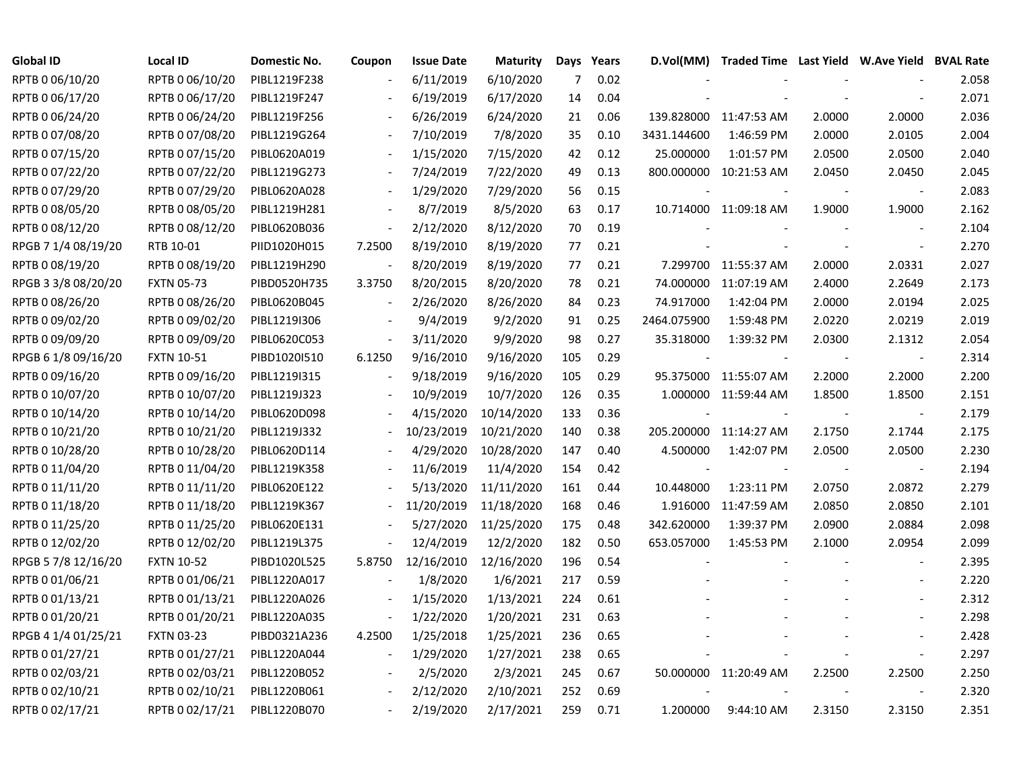| <b>Global ID</b>    | Local ID          | Domestic No. | Coupon                   | <b>Issue Date</b> | <b>Maturity</b> | <b>Days</b> | Years | D.Vol(MM)   | Traded Time Last Yield W.Ave Yield BVAL Rate |        |                          |       |
|---------------------|-------------------|--------------|--------------------------|-------------------|-----------------|-------------|-------|-------------|----------------------------------------------|--------|--------------------------|-------|
| RPTB 0 06/10/20     | RPTB 0 06/10/20   | PIBL1219F238 |                          | 6/11/2019         | 6/10/2020       | 7           | 0.02  |             |                                              |        |                          | 2.058 |
| RPTB 0 06/17/20     | RPTB 0 06/17/20   | PIBL1219F247 |                          | 6/19/2019         | 6/17/2020       | 14          | 0.04  |             |                                              |        |                          | 2.071 |
| RPTB 0 06/24/20     | RPTB 0 06/24/20   | PIBL1219F256 |                          | 6/26/2019         | 6/24/2020       | 21          | 0.06  |             | 139.828000 11:47:53 AM                       | 2.0000 | 2.0000                   | 2.036 |
| RPTB 0 07/08/20     | RPTB 0 07/08/20   | PIBL1219G264 |                          | 7/10/2019         | 7/8/2020        | 35          | 0.10  | 3431.144600 | 1:46:59 PM                                   | 2.0000 | 2.0105                   | 2.004 |
| RPTB 0 07/15/20     | RPTB 0 07/15/20   | PIBL0620A019 |                          | 1/15/2020         | 7/15/2020       | 42          | 0.12  | 25.000000   | 1:01:57 PM                                   | 2.0500 | 2.0500                   | 2.040 |
| RPTB 0 07/22/20     | RPTB 0 07/22/20   | PIBL1219G273 |                          | 7/24/2019         | 7/22/2020       | 49          | 0.13  |             | 800.000000 10:21:53 AM                       | 2.0450 | 2.0450                   | 2.045 |
| RPTB 0 07/29/20     | RPTB 0 07/29/20   | PIBL0620A028 |                          | 1/29/2020         | 7/29/2020       | 56          | 0.15  |             |                                              |        |                          | 2.083 |
| RPTB 0 08/05/20     | RPTB 0 08/05/20   | PIBL1219H281 |                          | 8/7/2019          | 8/5/2020        | 63          | 0.17  |             | 10.714000 11:09:18 AM                        | 1.9000 | 1.9000                   | 2.162 |
| RPTB 0 08/12/20     | RPTB 0 08/12/20   | PIBL0620B036 |                          | 2/12/2020         | 8/12/2020       | 70          | 0.19  |             |                                              |        |                          | 2.104 |
| RPGB 7 1/4 08/19/20 | RTB 10-01         | PIID1020H015 | 7.2500                   | 8/19/2010         | 8/19/2020       | 77          | 0.21  |             |                                              |        | $\overline{\phantom{a}}$ | 2.270 |
| RPTB 0 08/19/20     | RPTB 0 08/19/20   | PIBL1219H290 | $\overline{\phantom{a}}$ | 8/20/2019         | 8/19/2020       | 77          | 0.21  |             | 7.299700 11:55:37 AM                         | 2.0000 | 2.0331                   | 2.027 |
| RPGB 3 3/8 08/20/20 | <b>FXTN 05-73</b> | PIBD0520H735 | 3.3750                   | 8/20/2015         | 8/20/2020       | 78          | 0.21  |             | 74.000000 11:07:19 AM                        | 2.4000 | 2.2649                   | 2.173 |
| RPTB 0 08/26/20     | RPTB 0 08/26/20   | PIBL0620B045 |                          | 2/26/2020         | 8/26/2020       | 84          | 0.23  | 74.917000   | 1:42:04 PM                                   | 2.0000 | 2.0194                   | 2.025 |
| RPTB 0 09/02/20     | RPTB 0 09/02/20   | PIBL1219I306 |                          | 9/4/2019          | 9/2/2020        | 91          | 0.25  | 2464.075900 | 1:59:48 PM                                   | 2.0220 | 2.0219                   | 2.019 |
| RPTB 0 09/09/20     | RPTB 0 09/09/20   | PIBL0620C053 |                          | 3/11/2020         | 9/9/2020        | 98          | 0.27  | 35.318000   | 1:39:32 PM                                   | 2.0300 | 2.1312                   | 2.054 |
| RPGB 6 1/8 09/16/20 | <b>FXTN 10-51</b> | PIBD1020I510 | 6.1250                   | 9/16/2010         | 9/16/2020       | 105         | 0.29  |             |                                              |        |                          | 2.314 |
| RPTB 0 09/16/20     | RPTB 0 09/16/20   | PIBL1219I315 |                          | 9/18/2019         | 9/16/2020       | 105         | 0.29  |             | 95.375000 11:55:07 AM                        | 2.2000 | 2.2000                   | 2.200 |
| RPTB 0 10/07/20     | RPTB 0 10/07/20   | PIBL1219J323 |                          | 10/9/2019         | 10/7/2020       | 126         | 0.35  |             | 1.000000 11:59:44 AM                         | 1.8500 | 1.8500                   | 2.151 |
| RPTB 0 10/14/20     | RPTB 0 10/14/20   | PIBL0620D098 |                          | 4/15/2020         | 10/14/2020      | 133         | 0.36  |             |                                              |        |                          | 2.179 |
| RPTB 0 10/21/20     | RPTB 0 10/21/20   | PIBL1219J332 |                          | 10/23/2019        | 10/21/2020      | 140         | 0.38  |             | 205.200000 11:14:27 AM                       | 2.1750 | 2.1744                   | 2.175 |
| RPTB 0 10/28/20     | RPTB 0 10/28/20   | PIBL0620D114 |                          | 4/29/2020         | 10/28/2020      | 147         | 0.40  | 4.500000    | 1:42:07 PM                                   | 2.0500 | 2.0500                   | 2.230 |
| RPTB 0 11/04/20     | RPTB 0 11/04/20   | PIBL1219K358 |                          | 11/6/2019         | 11/4/2020       | 154         | 0.42  |             |                                              |        | $\overline{\phantom{a}}$ | 2.194 |
| RPTB 0 11/11/20     | RPTB 0 11/11/20   | PIBL0620E122 |                          | 5/13/2020         | 11/11/2020      | 161         | 0.44  | 10.448000   | 1:23:11 PM                                   | 2.0750 | 2.0872                   | 2.279 |
| RPTB 0 11/18/20     | RPTB 0 11/18/20   | PIBL1219K367 |                          | 11/20/2019        | 11/18/2020      | 168         | 0.46  |             | 1.916000 11:47:59 AM                         | 2.0850 | 2.0850                   | 2.101 |
| RPTB 0 11/25/20     | RPTB 0 11/25/20   | PIBL0620E131 |                          | 5/27/2020         | 11/25/2020      | 175         | 0.48  | 342.620000  | 1:39:37 PM                                   | 2.0900 | 2.0884                   | 2.098 |
| RPTB 0 12/02/20     | RPTB 0 12/02/20   | PIBL1219L375 |                          | 12/4/2019         | 12/2/2020       | 182         | 0.50  | 653.057000  | 1:45:53 PM                                   | 2.1000 | 2.0954                   | 2.099 |
| RPGB 5 7/8 12/16/20 | <b>FXTN 10-52</b> | PIBD1020L525 | 5.8750                   | 12/16/2010        | 12/16/2020      | 196         | 0.54  |             |                                              |        |                          | 2.395 |
| RPTB 0 01/06/21     | RPTB 0 01/06/21   | PIBL1220A017 |                          | 1/8/2020          | 1/6/2021        | 217         | 0.59  |             |                                              |        |                          | 2.220 |
| RPTB 0 01/13/21     | RPTB 0 01/13/21   | PIBL1220A026 |                          | 1/15/2020         | 1/13/2021       | 224         | 0.61  |             |                                              |        |                          | 2.312 |
| RPTB 0 01/20/21     | RPTB 0 01/20/21   | PIBL1220A035 |                          | 1/22/2020         | 1/20/2021       | 231         | 0.63  |             |                                              |        |                          | 2.298 |
| RPGB 4 1/4 01/25/21 | <b>FXTN 03-23</b> | PIBD0321A236 | 4.2500                   | 1/25/2018         | 1/25/2021       | 236         | 0.65  |             |                                              |        |                          | 2.428 |
| RPTB 0 01/27/21     | RPTB 0 01/27/21   | PIBL1220A044 |                          | 1/29/2020         | 1/27/2021       | 238         | 0.65  |             |                                              |        |                          | 2.297 |
| RPTB 0 02/03/21     | RPTB 0 02/03/21   | PIBL1220B052 |                          | 2/5/2020          | 2/3/2021        | 245         | 0.67  |             | 50.000000 11:20:49 AM                        | 2.2500 | 2.2500                   | 2.250 |
| RPTB 0 02/10/21     | RPTB 0 02/10/21   | PIBL1220B061 |                          | 2/12/2020         | 2/10/2021       | 252         | 0.69  |             |                                              |        |                          | 2.320 |
| RPTB 0 02/17/21     | RPTB 0 02/17/21   | PIBL1220B070 | $\blacksquare$           | 2/19/2020         | 2/17/2021       | 259         | 0.71  | 1.200000    | 9:44:10 AM                                   | 2.3150 | 2.3150                   | 2.351 |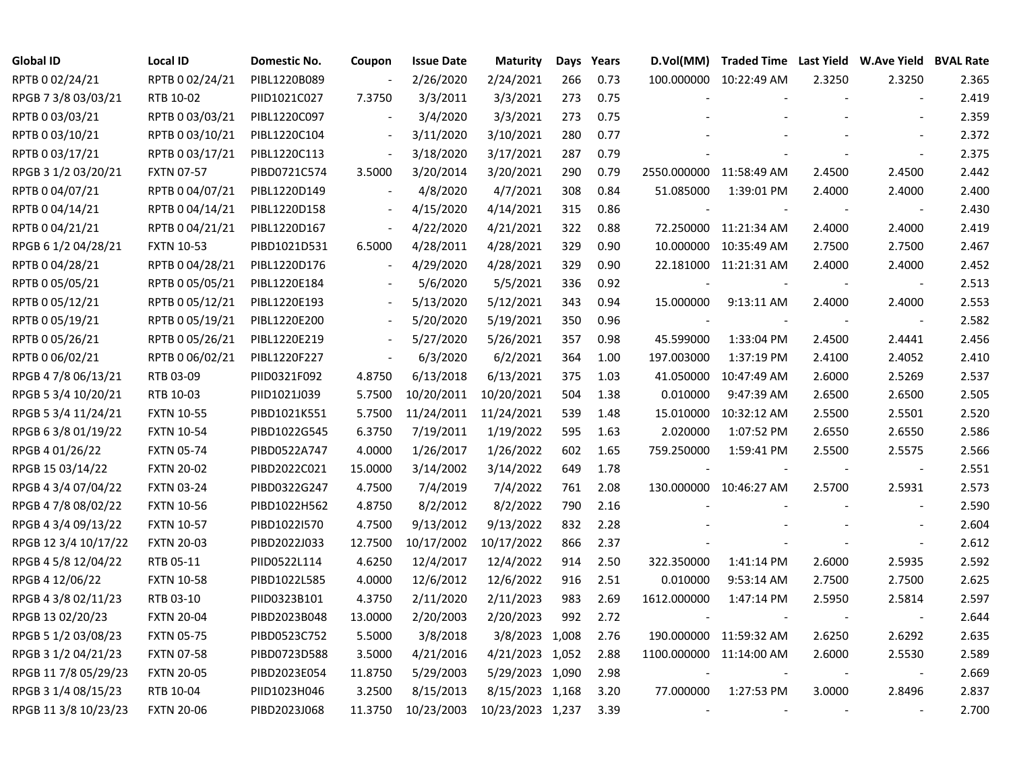| <b>Global ID</b>     | <b>Local ID</b>   | Domestic No. | Coupon                   | <b>Issue Date</b> | <b>Maturity</b>  | Days  | Years | D.Vol(MM)                | Traded Time Last Yield W.Ave Yield BVAL Rate |        |                          |       |
|----------------------|-------------------|--------------|--------------------------|-------------------|------------------|-------|-------|--------------------------|----------------------------------------------|--------|--------------------------|-------|
| RPTB 0 02/24/21      | RPTB 0 02/24/21   | PIBL1220B089 |                          | 2/26/2020         | 2/24/2021        | 266   | 0.73  |                          | 100.000000 10:22:49 AM                       | 2.3250 | 2.3250                   | 2.365 |
| RPGB 7 3/8 03/03/21  | RTB 10-02         | PIID1021C027 | 7.3750                   | 3/3/2011          | 3/3/2021         | 273   | 0.75  |                          |                                              |        |                          | 2.419 |
| RPTB 0 03/03/21      | RPTB 0 03/03/21   | PIBL1220C097 |                          | 3/4/2020          | 3/3/2021         | 273   | 0.75  |                          |                                              |        |                          | 2.359 |
| RPTB 0 03/10/21      | RPTB 0 03/10/21   | PIBL1220C104 |                          | 3/11/2020         | 3/10/2021        | 280   | 0.77  |                          |                                              |        |                          | 2.372 |
| RPTB 0 03/17/21      | RPTB 0 03/17/21   | PIBL1220C113 |                          | 3/18/2020         | 3/17/2021        | 287   | 0.79  |                          |                                              |        | $\overline{\phantom{a}}$ | 2.375 |
| RPGB 3 1/2 03/20/21  | <b>FXTN 07-57</b> | PIBD0721C574 | 3.5000                   | 3/20/2014         | 3/20/2021        | 290   | 0.79  | 2550.000000 11:58:49 AM  |                                              | 2.4500 | 2.4500                   | 2.442 |
| RPTB 0 04/07/21      | RPTB 0 04/07/21   | PIBL1220D149 |                          | 4/8/2020          | 4/7/2021         | 308   | 0.84  | 51.085000                | 1:39:01 PM                                   | 2.4000 | 2.4000                   | 2.400 |
| RPTB 0 04/14/21      | RPTB 0 04/14/21   | PIBL1220D158 |                          | 4/15/2020         | 4/14/2021        | 315   | 0.86  |                          |                                              |        | $\overline{\phantom{a}}$ | 2.430 |
| RPTB 0 04/21/21      | RPTB 0 04/21/21   | PIBL1220D167 |                          | 4/22/2020         | 4/21/2021        | 322   | 0.88  |                          | 72.250000 11:21:34 AM                        | 2.4000 | 2.4000                   | 2.419 |
| RPGB 6 1/2 04/28/21  | <b>FXTN 10-53</b> | PIBD1021D531 | 6.5000                   | 4/28/2011         | 4/28/2021        | 329   | 0.90  |                          | 10.000000 10:35:49 AM                        | 2.7500 | 2.7500                   | 2.467 |
| RPTB 0 04/28/21      | RPTB 0 04/28/21   | PIBL1220D176 |                          | 4/29/2020         | 4/28/2021        | 329   | 0.90  |                          | 22.181000 11:21:31 AM                        | 2.4000 | 2.4000                   | 2.452 |
| RPTB 0 05/05/21      | RPTB 0 05/05/21   | PIBL1220E184 |                          | 5/6/2020          | 5/5/2021         | 336   | 0.92  | $\overline{\phantom{a}}$ |                                              |        | $\overline{\phantom{a}}$ | 2.513 |
| RPTB 0 05/12/21      | RPTB 0 05/12/21   | PIBL1220E193 |                          | 5/13/2020         | 5/12/2021        | 343   | 0.94  | 15.000000                | 9:13:11 AM                                   | 2.4000 | 2.4000                   | 2.553 |
| RPTB 0 05/19/21      | RPTB 0 05/19/21   | PIBL1220E200 |                          | 5/20/2020         | 5/19/2021        | 350   | 0.96  |                          |                                              |        |                          | 2.582 |
| RPTB 0 05/26/21      | RPTB 0 05/26/21   | PIBL1220E219 |                          | 5/27/2020         | 5/26/2021        | 357   | 0.98  | 45.599000                | 1:33:04 PM                                   | 2.4500 | 2.4441                   | 2.456 |
| RPTB 0 06/02/21      | RPTB 0 06/02/21   | PIBL1220F227 | $\overline{\phantom{a}}$ | 6/3/2020          | 6/2/2021         | 364   | 1.00  | 197.003000               | 1:37:19 PM                                   | 2.4100 | 2.4052                   | 2.410 |
| RPGB 4 7/8 06/13/21  | RTB 03-09         | PIID0321F092 | 4.8750                   | 6/13/2018         | 6/13/2021        | 375   | 1.03  | 41.050000                | 10:47:49 AM                                  | 2.6000 | 2.5269                   | 2.537 |
| RPGB 5 3/4 10/20/21  | RTB 10-03         | PIID1021J039 | 5.7500                   | 10/20/2011        | 10/20/2021       | 504   | 1.38  | 0.010000                 | 9:47:39 AM                                   | 2.6500 | 2.6500                   | 2.505 |
| RPGB 5 3/4 11/24/21  | <b>FXTN 10-55</b> | PIBD1021K551 | 5.7500                   | 11/24/2011        | 11/24/2021       | 539   | 1.48  | 15.010000                | 10:32:12 AM                                  | 2.5500 | 2.5501                   | 2.520 |
| RPGB 6 3/8 01/19/22  | <b>FXTN 10-54</b> | PIBD1022G545 | 6.3750                   | 7/19/2011         | 1/19/2022        | 595   | 1.63  | 2.020000                 | 1:07:52 PM                                   | 2.6550 | 2.6550                   | 2.586 |
| RPGB 4 01/26/22      | <b>FXTN 05-74</b> | PIBD0522A747 | 4.0000                   | 1/26/2017         | 1/26/2022        | 602   | 1.65  | 759.250000               | 1:59:41 PM                                   | 2.5500 | 2.5575                   | 2.566 |
| RPGB 15 03/14/22     | <b>FXTN 20-02</b> | PIBD2022C021 | 15.0000                  | 3/14/2002         | 3/14/2022        | 649   | 1.78  |                          |                                              |        | $\blacksquare$           | 2.551 |
| RPGB 4 3/4 07/04/22  | <b>FXTN 03-24</b> | PIBD0322G247 | 4.7500                   | 7/4/2019          | 7/4/2022         | 761   | 2.08  |                          | 130.000000 10:46:27 AM                       | 2.5700 | 2.5931                   | 2.573 |
| RPGB 4 7/8 08/02/22  | <b>FXTN 10-56</b> | PIBD1022H562 | 4.8750                   | 8/2/2012          | 8/2/2022         | 790   | 2.16  |                          |                                              |        | $\overline{\phantom{a}}$ | 2.590 |
| RPGB 4 3/4 09/13/22  | <b>FXTN 10-57</b> | PIBD1022I570 | 4.7500                   | 9/13/2012         | 9/13/2022        | 832   | 2.28  |                          |                                              |        | $\overline{\phantom{a}}$ | 2.604 |
| RPGB 12 3/4 10/17/22 | <b>FXTN 20-03</b> | PIBD2022J033 | 12.7500                  | 10/17/2002        | 10/17/2022       | 866   | 2.37  |                          |                                              |        | $\blacksquare$           | 2.612 |
| RPGB 4 5/8 12/04/22  | RTB 05-11         | PIID0522L114 | 4.6250                   | 12/4/2017         | 12/4/2022        | 914   | 2.50  | 322.350000               | 1:41:14 PM                                   | 2.6000 | 2.5935                   | 2.592 |
| RPGB 4 12/06/22      | <b>FXTN 10-58</b> | PIBD1022L585 | 4.0000                   | 12/6/2012         | 12/6/2022        | 916   | 2.51  | 0.010000                 | 9:53:14 AM                                   | 2.7500 | 2.7500                   | 2.625 |
| RPGB 4 3/8 02/11/23  | RTB 03-10         | PIID0323B101 | 4.3750                   | 2/11/2020         | 2/11/2023        | 983   | 2.69  | 1612.000000              | 1:47:14 PM                                   | 2.5950 | 2.5814                   | 2.597 |
| RPGB 13 02/20/23     | <b>FXTN 20-04</b> | PIBD2023B048 | 13.0000                  | 2/20/2003         | 2/20/2023        | 992   | 2.72  |                          |                                              |        | $\overline{\phantom{a}}$ | 2.644 |
| RPGB 5 1/2 03/08/23  | <b>FXTN 05-75</b> | PIBD0523C752 | 5.5000                   | 3/8/2018          | 3/8/2023         | 1,008 | 2.76  |                          | 190.000000 11:59:32 AM                       | 2.6250 | 2.6292                   | 2.635 |
| RPGB 3 1/2 04/21/23  | <b>FXTN 07-58</b> | PIBD0723D588 | 3.5000                   | 4/21/2016         | 4/21/2023 1,052  |       | 2.88  | 1100.000000 11:14:00 AM  |                                              | 2.6000 | 2.5530                   | 2.589 |
| RPGB 11 7/8 05/29/23 | <b>FXTN 20-05</b> | PIBD2023E054 | 11.8750                  | 5/29/2003         | 5/29/2023 1,090  |       | 2.98  |                          |                                              |        | $\blacksquare$           | 2.669 |
| RPGB 3 1/4 08/15/23  | RTB 10-04         | PIID1023H046 | 3.2500                   | 8/15/2013         | 8/15/2023 1,168  |       | 3.20  | 77.000000                | 1:27:53 PM                                   | 3.0000 | 2.8496                   | 2.837 |
| RPGB 11 3/8 10/23/23 | <b>FXTN 20-06</b> | PIBD2023J068 | 11.3750                  | 10/23/2003        | 10/23/2023 1,237 |       | 3.39  | $\sim$                   | $\overline{\phantom{a}}$                     |        | $\blacksquare$           | 2.700 |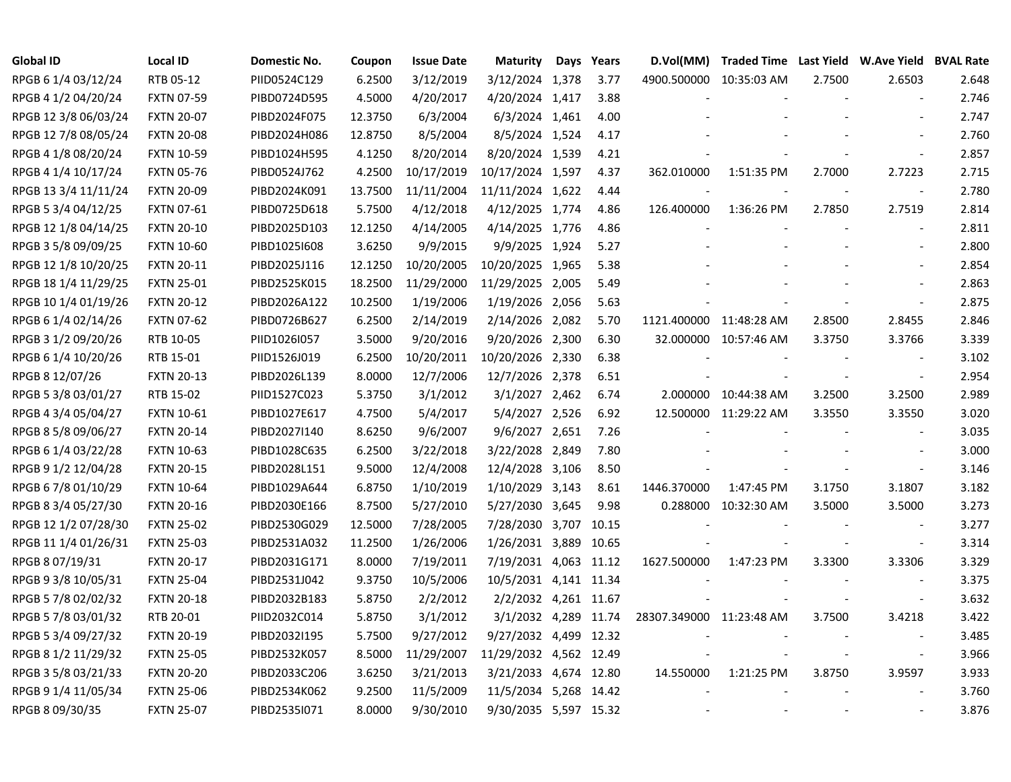| Global ID            | Local ID          | Domestic No. | Coupon  | <b>Issue Date</b> | <b>Maturity</b>        | Days | Years | D.Vol(MM)                | Traded Time Last Yield W.Ave Yield BVAL Rate |        |                          |       |
|----------------------|-------------------|--------------|---------|-------------------|------------------------|------|-------|--------------------------|----------------------------------------------|--------|--------------------------|-------|
| RPGB 6 1/4 03/12/24  | RTB 05-12         | PIID0524C129 | 6.2500  | 3/12/2019         | 3/12/2024 1,378        |      | 3.77  |                          | 4900.500000 10:35:03 AM                      | 2.7500 | 2.6503                   | 2.648 |
| RPGB 4 1/2 04/20/24  | <b>FXTN 07-59</b> | PIBD0724D595 | 4.5000  | 4/20/2017         | 4/20/2024 1,417        |      | 3.88  |                          |                                              |        |                          | 2.746 |
| RPGB 12 3/8 06/03/24 | <b>FXTN 20-07</b> | PIBD2024F075 | 12.3750 | 6/3/2004          | 6/3/2024 1,461         |      | 4.00  |                          |                                              |        |                          | 2.747 |
| RPGB 12 7/8 08/05/24 | <b>FXTN 20-08</b> | PIBD2024H086 | 12.8750 | 8/5/2004          | 8/5/2024 1,524         |      | 4.17  |                          |                                              |        | $\overline{a}$           | 2.760 |
| RPGB 4 1/8 08/20/24  | <b>FXTN 10-59</b> | PIBD1024H595 | 4.1250  | 8/20/2014         | 8/20/2024 1,539        |      | 4.21  |                          |                                              |        | $\overline{\phantom{a}}$ | 2.857 |
| RPGB 4 1/4 10/17/24  | <b>FXTN 05-76</b> | PIBD0524J762 | 4.2500  | 10/17/2019        | 10/17/2024 1,597       |      | 4.37  | 362.010000               | 1:51:35 PM                                   | 2.7000 | 2.7223                   | 2.715 |
| RPGB 13 3/4 11/11/24 | <b>FXTN 20-09</b> | PIBD2024K091 | 13.7500 | 11/11/2004        | 11/11/2024 1,622       |      | 4.44  |                          |                                              |        | $\overline{\phantom{a}}$ | 2.780 |
| RPGB 5 3/4 04/12/25  | <b>FXTN 07-61</b> | PIBD0725D618 | 5.7500  | 4/12/2018         | 4/12/2025 1,774        |      | 4.86  | 126.400000               | 1:36:26 PM                                   | 2.7850 | 2.7519                   | 2.814 |
| RPGB 12 1/8 04/14/25 | <b>FXTN 20-10</b> | PIBD2025D103 | 12.1250 | 4/14/2005         | 4/14/2025 1,776        |      | 4.86  |                          |                                              |        | $\overline{\phantom{a}}$ | 2.811 |
| RPGB 3 5/8 09/09/25  | <b>FXTN 10-60</b> | PIBD10251608 | 3.6250  | 9/9/2015          | 9/9/2025 1,924         |      | 5.27  |                          |                                              |        | $\overline{\phantom{a}}$ | 2.800 |
| RPGB 12 1/8 10/20/25 | <b>FXTN 20-11</b> | PIBD2025J116 | 12.1250 | 10/20/2005        | 10/20/2025 1,965       |      | 5.38  |                          |                                              |        |                          | 2.854 |
| RPGB 18 1/4 11/29/25 | <b>FXTN 25-01</b> | PIBD2525K015 | 18.2500 | 11/29/2000        | 11/29/2025 2,005       |      | 5.49  |                          |                                              |        | $\overline{a}$           | 2.863 |
| RPGB 10 1/4 01/19/26 | <b>FXTN 20-12</b> | PIBD2026A122 | 10.2500 | 1/19/2006         | 1/19/2026 2,056        |      | 5.63  |                          |                                              |        | $\sim$                   | 2.875 |
| RPGB 6 1/4 02/14/26  | <b>FXTN 07-62</b> | PIBD0726B627 | 6.2500  | 2/14/2019         | 2/14/2026 2,082        |      | 5.70  | 1121.400000 11:48:28 AM  |                                              | 2.8500 | 2.8455                   | 2.846 |
| RPGB 3 1/2 09/20/26  | RTB 10-05         | PIID1026I057 | 3.5000  | 9/20/2016         | 9/20/2026 2,300        |      | 6.30  |                          | 32.000000 10:57:46 AM                        | 3.3750 | 3.3766                   | 3.339 |
| RPGB 6 1/4 10/20/26  | RTB 15-01         | PIID1526J019 | 6.2500  | 10/20/2011        | 10/20/2026 2,330       |      | 6.38  |                          |                                              |        |                          | 3.102 |
| RPGB 8 12/07/26      | <b>FXTN 20-13</b> | PIBD2026L139 | 8.0000  | 12/7/2006         | 12/7/2026 2,378        |      | 6.51  |                          |                                              |        | $\overline{\phantom{a}}$ | 2.954 |
| RPGB 5 3/8 03/01/27  | RTB 15-02         | PIID1527C023 | 5.3750  | 3/1/2012          | 3/1/2027 2,462         |      | 6.74  |                          | 2.000000 10:44:38 AM                         | 3.2500 | 3.2500                   | 2.989 |
| RPGB 4 3/4 05/04/27  | <b>FXTN 10-61</b> | PIBD1027E617 | 4.7500  | 5/4/2017          | 5/4/2027 2,526         |      | 6.92  |                          | 12.500000 11:29:22 AM                        | 3.3550 | 3.3550                   | 3.020 |
| RPGB 8 5/8 09/06/27  | <b>FXTN 20-14</b> | PIBD2027I140 | 8.6250  | 9/6/2007          | 9/6/2027 2,651         |      | 7.26  |                          |                                              |        | $\overline{\phantom{a}}$ | 3.035 |
| RPGB 6 1/4 03/22/28  | <b>FXTN 10-63</b> | PIBD1028C635 | 6.2500  | 3/22/2018         | 3/22/2028 2,849        |      | 7.80  |                          |                                              |        |                          | 3.000 |
| RPGB 9 1/2 12/04/28  | <b>FXTN 20-15</b> | PIBD2028L151 | 9.5000  | 12/4/2008         | 12/4/2028 3,106        |      | 8.50  |                          |                                              |        | $\blacksquare$           | 3.146 |
| RPGB 6 7/8 01/10/29  | <b>FXTN 10-64</b> | PIBD1029A644 | 6.8750  | 1/10/2019         | 1/10/2029 3,143        |      | 8.61  | 1446.370000              | 1:47:45 PM                                   | 3.1750 | 3.1807                   | 3.182 |
| RPGB 8 3/4 05/27/30  | <b>FXTN 20-16</b> | PIBD2030E166 | 8.7500  | 5/27/2010         | 5/27/2030 3,645        |      | 9.98  |                          | 0.288000 10:32:30 AM                         | 3.5000 | 3.5000                   | 3.273 |
| RPGB 12 1/2 07/28/30 | <b>FXTN 25-02</b> | PIBD2530G029 | 12.5000 | 7/28/2005         | 7/28/2030 3,707 10.15  |      |       |                          |                                              |        | $\sim$                   | 3.277 |
| RPGB 11 1/4 01/26/31 | <b>FXTN 25-03</b> | PIBD2531A032 | 11.2500 | 1/26/2006         | 1/26/2031 3,889 10.65  |      |       |                          |                                              |        | $\blacksquare$           | 3.314 |
| RPGB 8 07/19/31      | <b>FXTN 20-17</b> | PIBD2031G171 | 8.0000  | 7/19/2011         | 7/19/2031 4,063 11.12  |      |       | 1627.500000              | 1:47:23 PM                                   | 3.3300 | 3.3306                   | 3.329 |
| RPGB 9 3/8 10/05/31  | <b>FXTN 25-04</b> | PIBD2531J042 | 9.3750  | 10/5/2006         | 10/5/2031 4,141 11.34  |      |       |                          |                                              |        |                          | 3.375 |
| RPGB 5 7/8 02/02/32  | <b>FXTN 20-18</b> | PIBD2032B183 | 5.8750  | 2/2/2012          | 2/2/2032 4,261 11.67   |      |       |                          |                                              |        | $\overline{\phantom{a}}$ | 3.632 |
| RPGB 5 7/8 03/01/32  | RTB 20-01         | PIID2032C014 | 5.8750  | 3/1/2012          | 3/1/2032 4,289 11.74   |      |       | 28307.349000 11:23:48 AM |                                              | 3.7500 | 3.4218                   | 3.422 |
| RPGB 5 3/4 09/27/32  | <b>FXTN 20-19</b> | PIBD2032I195 | 5.7500  | 9/27/2012         | 9/27/2032 4,499 12.32  |      |       |                          |                                              |        | $\overline{\phantom{a}}$ | 3.485 |
| RPGB 8 1/2 11/29/32  | <b>FXTN 25-05</b> | PIBD2532K057 | 8.5000  | 11/29/2007        | 11/29/2032 4,562 12.49 |      |       |                          |                                              |        | $\overline{\phantom{a}}$ | 3.966 |
| RPGB 3 5/8 03/21/33  | <b>FXTN 20-20</b> | PIBD2033C206 | 3.6250  | 3/21/2013         | 3/21/2033 4,674 12.80  |      |       | 14.550000                | 1:21:25 PM                                   | 3.8750 | 3.9597                   | 3.933 |
| RPGB 9 1/4 11/05/34  | <b>FXTN 25-06</b> | PIBD2534K062 | 9.2500  | 11/5/2009         | 11/5/2034 5,268 14.42  |      |       |                          |                                              |        |                          | 3.760 |
| RPGB 8 09/30/35      | <b>FXTN 25-07</b> | PIBD2535I071 | 8.0000  | 9/30/2010         | 9/30/2035 5,597 15.32  |      |       |                          |                                              |        |                          | 3.876 |